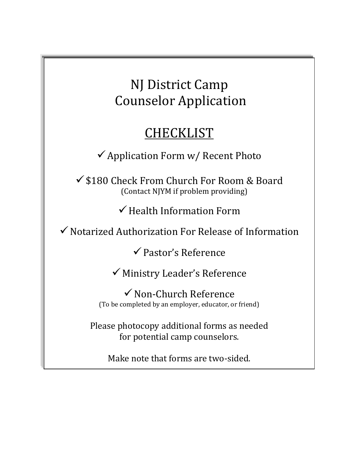NJ District Camp Counselor Application

# **CHECKLIST**

 $\checkmark$  Application Form w/ Recent Photo

 $\checkmark$  \$180 Check From Church For Room & Board (Contact NJYM if problem providing)

 $\checkmark$  Health Information Form

 $\checkmark$  Notarized Authorization For Release of Information

 $\checkmark$  Pastor's Reference

 $\checkmark$  Ministry Leader's Reference

 $\checkmark$  Non-Church Reference (To be completed by an employer, educator, or friend)

Please photocopy additional forms as needed for potential camp counselors.

Make note that forms are two-sided.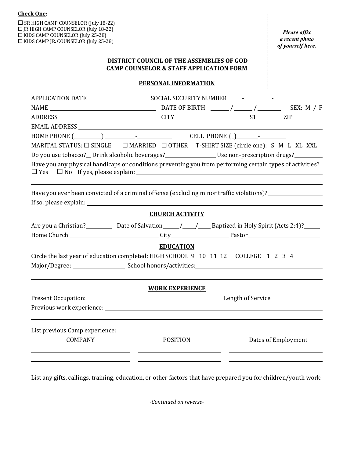| <b>Check One:</b>                                                                                                                                                                                                                                                                                                                   |                                                                                                        |  |                                                     |
|-------------------------------------------------------------------------------------------------------------------------------------------------------------------------------------------------------------------------------------------------------------------------------------------------------------------------------------|--------------------------------------------------------------------------------------------------------|--|-----------------------------------------------------|
| $\Box$ SR HIGH CAMP COUNSELOR (July 18-22)<br>□ JR HIGH CAMP COUNSELOR (July 18-22)<br>$\Box$ KIDS CAMP COUNSELOR (July 25-28)<br>□ KIDS CAMP JR. COUNSELOR (July 25-28)                                                                                                                                                            |                                                                                                        |  | Please affix<br>a recent photo<br>of yourself here. |
|                                                                                                                                                                                                                                                                                                                                     | <b>DISTRICT COUNCIL OF THE ASSEMBLIES OF GOD</b><br><b>CAMP COUNSELOR &amp; STAFF APPLICATION FORM</b> |  |                                                     |
|                                                                                                                                                                                                                                                                                                                                     | PERSONAL INFORMATION                                                                                   |  |                                                     |
|                                                                                                                                                                                                                                                                                                                                     |                                                                                                        |  |                                                     |
|                                                                                                                                                                                                                                                                                                                                     |                                                                                                        |  |                                                     |
| MARITAL STATUS: □ SINGLE □ MARRIED □ OTHER T-SHIRT SIZE (circle one): S M L XL XXL                                                                                                                                                                                                                                                  |                                                                                                        |  |                                                     |
| Do you use tobacco? Drink alcoholic beverages? Use non-prescription drugs?<br>Have you any physical handicaps or conditions preventing you from performing certain types of activities?<br>$\Box$ Yes $\Box$ No If yes, please explain:<br>Have you ever been convicted of a criminal offense (excluding minor traffic violations)? |                                                                                                        |  |                                                     |
|                                                                                                                                                                                                                                                                                                                                     |                                                                                                        |  |                                                     |
|                                                                                                                                                                                                                                                                                                                                     | <b>CHURCH ACTIVITY</b>                                                                                 |  |                                                     |
|                                                                                                                                                                                                                                                                                                                                     |                                                                                                        |  |                                                     |
|                                                                                                                                                                                                                                                                                                                                     |                                                                                                        |  |                                                     |
|                                                                                                                                                                                                                                                                                                                                     | <b>EDUCATION</b>                                                                                       |  |                                                     |
| Circle the last year of education completed: HIGH SCHOOL 9 10 11 12 COLLEGE 1 2 3 4                                                                                                                                                                                                                                                 |                                                                                                        |  |                                                     |
| Major/Degree:                                                                                                                                                                                                                                                                                                                       | School honors/activities:                                                                              |  |                                                     |
|                                                                                                                                                                                                                                                                                                                                     |                                                                                                        |  |                                                     |
|                                                                                                                                                                                                                                                                                                                                     | <b>WORK EXPERIENCE</b>                                                                                 |  |                                                     |
|                                                                                                                                                                                                                                                                                                                                     |                                                                                                        |  |                                                     |
| List previous Camp experience:                                                                                                                                                                                                                                                                                                      |                                                                                                        |  |                                                     |

List any gifts, callings, training, education, or other factors that have prepared you for children/youth work:

-Continued on reverse-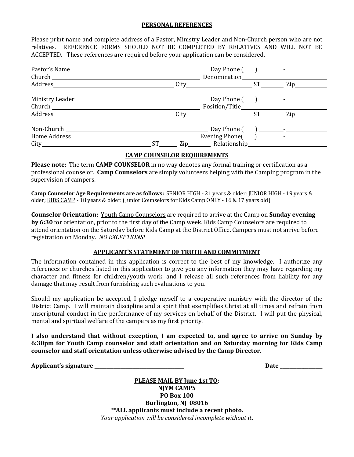#### **PERSONAL REFERENCES**

Please print name and complete address of a Pastor, Ministry Leader and Non-Church person who are not relatives. REFERENCE FORMS SHOULD NOT BE COMPLETED BY RELATIVES AND WILL NOT BE ACCEPTED. These references are required before your application can be considered.

|                                 |                 |  | $\overline{\text{Zip}}$                                                                                                                                                                                                        |  |
|---------------------------------|-----------------|--|--------------------------------------------------------------------------------------------------------------------------------------------------------------------------------------------------------------------------------|--|
|                                 |                 |  |                                                                                                                                                                                                                                |  |
|                                 |                 |  | Zip and the same of the same of the same of the same of the same of the same of the same of the same of the same of the same of the same of the same of the same of the same of the same of the same of the same of the same o |  |
| Non-Church Non-<br>Home Address | ST <sub>2</sub> |  |                                                                                                                                                                                                                                |  |

# **CAMP COUNSELOR REQUIREMENTS**

**Please note:** The term CAMP COUNSELOR in no way denotes any formal training or certification as a professional counselor. **Camp Counselors** are simply volunteers helping with the Camping program in the supervision of campers.

**Camp Counselor Age Requirements are as follows: SENIOR HIGH** - 21 years & older; **JUNIOR HIGH** - 19 years & older; KIDS CAMP - 18 years & older. (Junior Counselors for Kids Camp ONLY - 16 & 17 years old)

**Counselor Orientation:** Youth Camp Counselors are required to arrive at the Camp on **Sunday evening by 6:30** for orientation, prior to the first day of the Camp week. Kids Camp Counselors are required to attend orientation on the Saturday before Kids Camp at the District Office. Campers must not arrive before registration on Monday. NO EXCEPTIONS!

## **APPLICANT'S STATEMENT OF TRUTH AND COMMITMENT**

The information contained in this application is correct to the best of my knowledge. I authorize any references or churches listed in this application to give you any information they may have regarding my character and fitness for children/youth work, and I release all such references from liability for any damage that may result from furnishing such evaluations to you.

Should my application be accepted, I pledge myself to a cooperative ministry with the director of the District Camp. I will maintain discipline and a spirit that exemplifies Christ at all times and refrain from unscriptural conduct in the performance of my services on behalf of the District. I will put the physical, mental and spiritual welfare of the campers as my first priority.

I also understand that without exception, I am expected to, and agree to arrive on Sunday by **6:30pm for Youth Camp counselor and staff orientation and on Saturday morning for Kids Camp** counselor and staff orientation unless otherwise advised by the Camp Director.

**Applicant's signature \_\_\_\_\_\_\_\_\_\_\_\_\_\_\_\_\_\_\_\_\_\_\_\_\_\_\_\_\_\_\_\_\_\_\_\_\_\_ Date \_\_\_\_\_\_\_\_\_\_\_\_\_\_\_\_\_\_**

**PLEASE MAIL BY June 1st TO: NJYM CAMPS PO Box 100 Burlington, NJ 08016** \*\*ALL applicants must include a recent photo. *Your application will be considered incomplete without it.*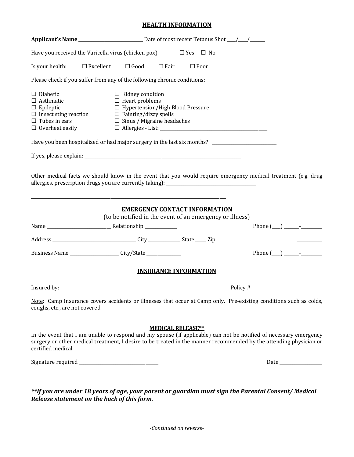## **HEALTH INFORMATION**

|                                                                                                                                                 | Have you received the Varicella virus (chicken pox)                                                                                                                                                                                     | $\Box$ Yes $\Box$ No     |                       |
|-------------------------------------------------------------------------------------------------------------------------------------------------|-----------------------------------------------------------------------------------------------------------------------------------------------------------------------------------------------------------------------------------------|--------------------------|-----------------------|
| Is your health:                                                                                                                                 | $\Box$ Good<br>$\square$ Excellent<br>$\square$ Fair                                                                                                                                                                                    | $\Box$ Poor              |                       |
|                                                                                                                                                 | Please check if you suffer from any of the following chronic conditions:                                                                                                                                                                |                          |                       |
| $\Box$ Diabetic<br>$\Box$ Asthmatic<br>$\Box$ Epileptic<br>$\square$ Insect sting reaction<br>$\square$ Tubes in ears<br>$\Box$ Overheat easily | $\Box$ Kidney condition<br>$\Box$ Heart problems<br>□ Hypertension/High Blood Pressure<br>$\Box$ Fainting/dizzy spells<br>$\Box$ Sinus / Migraine headaches<br>$\hfill\Box\text{ Allergies - List:}\_ \textit{\_} \_ \textit{\_}$       |                          |                       |
|                                                                                                                                                 | Have you been hospitalized or had major surgery in the last six months? ___________________________                                                                                                                                     |                          |                       |
|                                                                                                                                                 |                                                                                                                                                                                                                                         |                          |                       |
|                                                                                                                                                 | Other medical facts we should know in the event that you would require emergency medical treatment (e.g. drug                                                                                                                           |                          |                       |
|                                                                                                                                                 | <b>EMERGENCY CONTACT INFORMATION</b><br>(to be notified in the event of an emergency or illness)                                                                                                                                        |                          |                       |
|                                                                                                                                                 |                                                                                                                                                                                                                                         |                          | Phone $(\_\_) \_\_$ - |
|                                                                                                                                                 |                                                                                                                                                                                                                                         |                          |                       |
|                                                                                                                                                 | Business Name ______________________City/State _________________________________                                                                                                                                                        |                          |                       |
|                                                                                                                                                 | <b>INSURANCE INFORMATION</b>                                                                                                                                                                                                            |                          |                       |
|                                                                                                                                                 |                                                                                                                                                                                                                                         |                          |                       |
| coughs, etc., are not covered.                                                                                                                  | Note: Camp Insurance covers accidents or illnesses that occur at Camp only. Pre-existing conditions such as colds,                                                                                                                      |                          |                       |
|                                                                                                                                                 |                                                                                                                                                                                                                                         | <b>MEDICAL RELEASE**</b> |                       |
| certified medical.                                                                                                                              | In the event that I am unable to respond and my spouse (if applicable) can not be notified of necessary emergency<br>surgery or other medical treatment, I desire to be treated in the manner recommended by the attending physician or |                          |                       |
|                                                                                                                                                 |                                                                                                                                                                                                                                         |                          |                       |
|                                                                                                                                                 | **If you are under 18 years of age, your parent or guardian must sign the Parental Consent/ Medical                                                                                                                                     |                          |                       |

*-Continued on reverse-*

*Release statement on the back of this form.*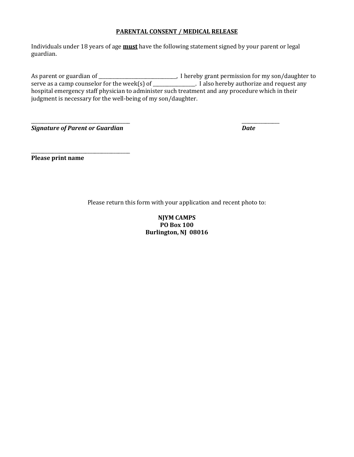# **PARENTAL CONSENT / MEDICAL RELEASE**

Individuals under 18 years of age **must** have the following statement signed by your parent or legal guardian.

As parent or guardian of \_\_\_\_\_\_\_\_\_\_\_\_\_\_\_\_\_\_\_\_\_\_\_\_\_\_\_\_\_\_\_, I hereby grant permission for my son/daughter to serve as a camp counselor for the week(s) of \_\_\_\_\_\_\_\_\_\_\_\_\_\_\_. I also hereby authorize and request any hospital emergency staff physician to administer such treatment and any procedure which in their judgment is necessary for the well-being of my son/daughter.

**Signature of Parent or Guardian Date** 

\_\_\_\_\_\_\_\_\_\_\_\_\_\_\_\_\_\_\_\_\_\_\_\_\_\_\_\_\_\_\_\_\_\_\_\_\_\_\_\_\_\_

\_\_\_\_\_\_\_\_\_\_\_\_\_\_\_\_\_\_\_\_\_\_\_\_\_\_\_\_\_\_\_\_\_\_\_\_\_\_\_\_\_\_ \_\_\_\_\_\_\_\_\_\_\_\_\_\_\_\_

**Please print name** 

Please return this form with your application and recent photo to:

**NJYM CAMPS PO Box 100 Burlington, NJ 08016**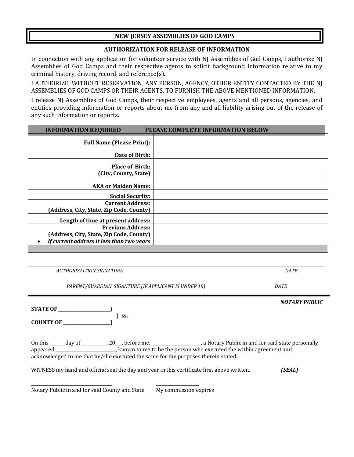# **NEW JERSEY ASSEMBLIES OF GOD CAMPS**

# **AUTHORIZATION FOR RELEASE OF INFORMATION**

In connection with any application for volunteer service with NJ Assemblies of God Camps, I authorize NJ Assemblies of God Camps and their respective agents to solicit background information relative to my criminal history, driving record, and reference $(s)$ .

I AUTHORIZE, WITHOUT RESERVATION, ANY PERSON, AGENCY, OTHER ENTITY CONTACTED BY THE NI ASSEMBLIES OF GOD CAMPS OR THEIR AGENTS, TO FURNISH THE ABOVE MENTIONED INFORMATION.

I release NJ Assemblies of God Camps, their respective employees, agents and all persons, agencies, and entities providing information or reports about me from any and all liability arising out of the release of any such information or reports.

| <b>INFORMATION REQUIRED</b>                                                                                                    | PLEASE COMPLETE INFORMATION BELOW |
|--------------------------------------------------------------------------------------------------------------------------------|-----------------------------------|
| <b>Full Name (Please Print):</b>                                                                                               |                                   |
| Date of Birth:                                                                                                                 |                                   |
| <b>Place of Birth:</b><br>(City, County, State)                                                                                |                                   |
| <b>AKA or Maiden Name:</b>                                                                                                     |                                   |
| <b>Social Security:</b>                                                                                                        |                                   |
| <b>Current Address:</b><br>(Address, City, State, Zip Code, County)                                                            |                                   |
| Length of time at present address:                                                                                             |                                   |
| <b>Previous Address:</b><br>(Address, City, State, Zip Code, County)<br>If current address it less than two years<br>$\bullet$ |                                   |

*AUTHORIZAITION SIGNATURE DATE*

*PARENT/GUARDIAN SIGANTURE (IF APPLICANT IS UNDER 18) DATE*

**STATE OF \_**  $\int$  SS. **COUNTY OF \_\_\_\_\_\_\_\_\_\_\_\_\_\_\_\_\_\_\_\_\_\_)**

On this \_\_\_\_\_ day of \_\_\_\_\_\_\_\_\_, 20\_\_, before me, \_\_\_\_\_\_\_\_\_\_\_\_\_\_\_\_\_\_\_, a Notary Public in and for said state personally appeared \_\_\_\_\_\_\_\_\_\_\_\_\_\_\_\_\_\_\_\_\_\_\_, known to me to be the person who executed the within agreement and acknowledged to me that he/she executed the same for the purposes therein stated.

WITNESS my hand and official seal the day and year in this certificate first above written. *(SEAL)* 

\_\_\_\_\_\_\_\_\_\_\_\_\_\_\_\_\_\_\_\_\_\_\_\_\_\_\_\_\_\_\_\_\_\_\_\_\_\_ \_\_\_\_\_\_\_\_\_\_\_\_\_\_\_\_\_\_\_\_ Notary Public in and for said County and State My commission expires

**NOTARY PUBLIC**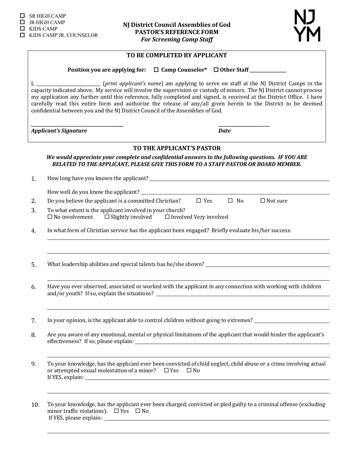

|     | TO BE COMPLETED BY APPLICANT                                                                                                                                                                                                                                                                                                                                                                                                                                                                                                                                                   |  |  |  |  |  |  |
|-----|--------------------------------------------------------------------------------------------------------------------------------------------------------------------------------------------------------------------------------------------------------------------------------------------------------------------------------------------------------------------------------------------------------------------------------------------------------------------------------------------------------------------------------------------------------------------------------|--|--|--|--|--|--|
|     | Position you are applying for: $\Box$ Camp Counselor* $\Box$ Other Staff ____________                                                                                                                                                                                                                                                                                                                                                                                                                                                                                          |  |  |  |  |  |  |
|     | I, ___________________________ (print applicant's name) am applying to serve on staff at the NJ District Camps in the<br>capacity indicated above. My service will involve the supervision or custody of minors. The NJ District cannot process<br>my application any further until this reference, fully completed and signed, is received at the District Office. I have<br>carefully read this entire form and authorize the release of any/all given herein to the District to be deemed<br>confidential between you and the NJ District Council of the Assemblies of God. |  |  |  |  |  |  |
|     | <b>Applicant's Signature</b><br><b>Date</b>                                                                                                                                                                                                                                                                                                                                                                                                                                                                                                                                    |  |  |  |  |  |  |
|     | TO THE APPLICANT'S PASTOR                                                                                                                                                                                                                                                                                                                                                                                                                                                                                                                                                      |  |  |  |  |  |  |
|     | We would appreciate your complete and confidential answers to the following questions. IF YOU ARE<br>RELATED TO THE APPLICANT, PLEASE GIVE THIS FORM TO A STAFF PASTOR OR BOARD MEMBER.                                                                                                                                                                                                                                                                                                                                                                                        |  |  |  |  |  |  |
| 1.  |                                                                                                                                                                                                                                                                                                                                                                                                                                                                                                                                                                                |  |  |  |  |  |  |
|     |                                                                                                                                                                                                                                                                                                                                                                                                                                                                                                                                                                                |  |  |  |  |  |  |
| 2.  | $\Box$ Yes<br>$\square$ No<br>Do you believe the applicant is a committed Christian?<br>$\Box$ Not sure                                                                                                                                                                                                                                                                                                                                                                                                                                                                        |  |  |  |  |  |  |
| 3.  | To what extent is the applicant involved in your church?<br>$\Box$ No involvement $\Box$ Slightly involved $\Box$ Involved Very involved                                                                                                                                                                                                                                                                                                                                                                                                                                       |  |  |  |  |  |  |
| 4.  | In what form of Christian service has the applicant been engaged? Briefly evaluate his/her success:                                                                                                                                                                                                                                                                                                                                                                                                                                                                            |  |  |  |  |  |  |
|     |                                                                                                                                                                                                                                                                                                                                                                                                                                                                                                                                                                                |  |  |  |  |  |  |
| 5.  |                                                                                                                                                                                                                                                                                                                                                                                                                                                                                                                                                                                |  |  |  |  |  |  |
| 6.  | Have you ever observed, associated or worked with the applicant in any connection with working with children                                                                                                                                                                                                                                                                                                                                                                                                                                                                   |  |  |  |  |  |  |
| 7.  | In your opinion, is the applicant able to control children without going to extremes? ________________________                                                                                                                                                                                                                                                                                                                                                                                                                                                                 |  |  |  |  |  |  |
| 8.  | Are you aware of any emotional, mental or physical limitations of the applicant that would hinder the applicant's                                                                                                                                                                                                                                                                                                                                                                                                                                                              |  |  |  |  |  |  |
| 9.  | To your knowledge, has the applicant ever been convicted of child neglect, child abuse or a crime involving actual<br>or attempted sexual molestation of a minor? $\Box$ Yes $\Box$ No                                                                                                                                                                                                                                                                                                                                                                                         |  |  |  |  |  |  |
| 10. | To your knowledge, has the applicant ever been charged, convicted or pled guilty to a criminal offense (excluding<br>minor traffic violations). $\Box$ Yes $\Box$ No                                                                                                                                                                                                                                                                                                                                                                                                           |  |  |  |  |  |  |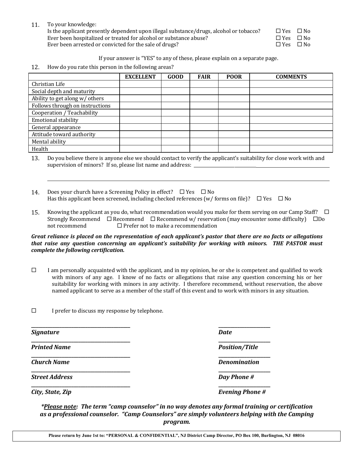11. To your knowledge:

Is the applicant presently dependent upon illegal substance/drugs, alcohol or tobacco?  $\square$  Yes  $\square$  No Ever been hospitalized or treated for alcohol or substance abuse?  $\square$   $\square$   $\blacksquare$   $\blacksquare$   $\blacksquare$   $\square$  No Ever been arrested or convicted for the sale of drugs?  $\square$   $\square$  Yes  $\square$  No

If your answer is "YES" to any of these, please explain on a separate page.

12. How do you rate this person in the following areas?

|                                 | <b>EXCELLENT</b> | <b>GOOD</b> | <b>FAIR</b> | <b>POOR</b> | <b>COMMENTS</b> |
|---------------------------------|------------------|-------------|-------------|-------------|-----------------|
| Christian Life                  |                  |             |             |             |                 |
| Social depth and maturity       |                  |             |             |             |                 |
| Ability to get along w/ others  |                  |             |             |             |                 |
| Follows through on instructions |                  |             |             |             |                 |
| Cooperation / Teachability      |                  |             |             |             |                 |
| Emotional stability             |                  |             |             |             |                 |
| General appearance              |                  |             |             |             |                 |
| Attitude toward authority       |                  |             |             |             |                 |
| Mental ability                  |                  |             |             |             |                 |
| Health                          |                  |             |             |             |                 |

13. Do you believe there is anyone else we should contact to verify the applicant's suitability for close work with and supervision of minors? If so, please list name and address: \_\_\_\_\_\_\_\_\_\_\_\_\_\_\_\_\_\_\_\_\_

- 14. Does your church have a Screening Policy in effect?  $\Box$  Yes  $\Box$  No Has this applicant been screened, including checked references (w/ forms on file)?  $\square$  Yes  $\square$  No
- 15. Knowing the applicant as you do, what recommendation would you make for them serving on our Camp Staff?  $\Box$ Strongly Recommend  $\Box$  Recommend  $\Box$  Recommend w/ reservation (may encounter some difficulty)  $\Box$ Do not recommend  $\Box$  Prefer not to make a recommendation

#### *Great reliance is placed on the representation of each applicant's pastor that there are no facts or allegations* that raise any question concerning an applicant's suitability for working with minors. THE PASTOR must *complete the following certification.*

- $\Box$  I am personally acquainted with the applicant, and in my opinion, he or she is competent and qualified to work with minors of any age. I know of no facts or allegations that raise any question concerning his or her suitability for working with minors in any activity. I therefore recommend, without reservation, the above named applicant to serve as a member of the staff of this event and to work with minors in any situation.
- $\square$  I prefer to discuss my response by telephone.

| Signature             | <b>Date</b>            |
|-----------------------|------------------------|
| <b>Printed Name</b>   | <b>Position/Title</b>  |
| <b>Church Name</b>    | <b>Denomination</b>    |
| <b>Street Address</b> | Day Phone #            |
| City, State, Zip      | <b>Evening Phone #</b> |

*\*Please note: The term "camp counselor" in no way denotes any formal training or certification* as a professional counselor. "Camp Counselors" are simply volunteers helping with the Camping *program.*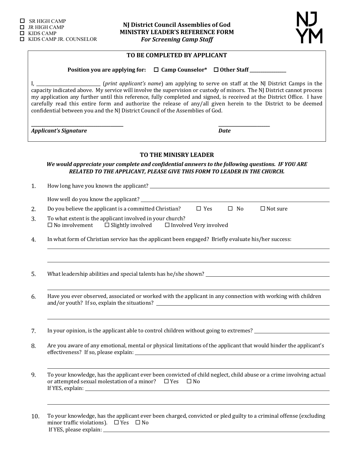

## TO BE COMPLETED BY APPLICANT

Position you are applying for:  $□$  Camp Counselor<sup>\*</sup>  $□$  Other Staff \_\_\_\_\_\_\_\_\_\_\_\_

**\_\_\_\_\_\_\_\_\_\_\_\_\_\_\_\_\_\_\_\_\_\_\_\_\_\_\_\_\_\_\_\_\_\_\_\_\_\_\_\_\_\_\_ \_\_\_\_\_\_\_\_\_\_\_\_\_\_\_\_\_\_\_\_\_\_\_\_**

I, **I** constant applicant's name) am applying to serve on staff at the NJ District Camps in the capacity indicated above. My service will involve the supervision or custody of minors. The NJ District cannot process my application any further until this reference, fully completed and signed, is received at the District Office. I have carefully read this entire form and authorize the release of any/all given herein to the District to be deemed confidential between you and the NJ District Council of the Assemblies of God.

*Applicant's* Signature *Date* 

#### **TO THE MINISRY LEADER**

We would appreciate your complete and confidential answers to the following questions. IF YOU ARE **RELATED TO THE APPLICANT, PLEASE GIVE THIS FORM TO LEADER IN THE CHURCH.** 

1. How long have you known the applicant?

How well do you know the applicant? \_\_\_\_\_\_\_\_

2. Do you believe the applicant is a committed Christian?  $\square$  Yes  $\square$  No  $\square$  Not sure

- 3. To what extent is the applicant involved in your church?<br> $\square$  No involvement  $\square$  Slightly involved  $\square$  Involv  $\Box$  Slightly involved  $\Box$  Involved Very involved
- 4. In what form of Christian service has the applicant been engaged? Briefly evaluate his/her success:
- 5. What leadership abilities and special talents has he/she shown?
- 6. Have you ever observed, associated or worked with the applicant in any connection with working with children and/or youth? If so, explain the situations?
- 7. In your opinion, is the applicant able to control children without going to extremes?
- 8. Are you aware of any emotional, mental or physical limitations of the applicant that would hinder the applicant's effectiveness? If so, please explain: \_\_\_\_\_\_\_
- 9. To your knowledge, has the applicant ever been convicted of child neglect, child abuse or a crime involving actual or attempted sexual molestation of a minor?  $\square$  Yes  $\square$  No If YES, explain: 1888
- 10. To your knowledge, has the applicant ever been charged, convicted or pled guilty to a criminal offense (excluding minor traffic violations).  $\Box$  Yes  $\Box$  No If YES, please explain: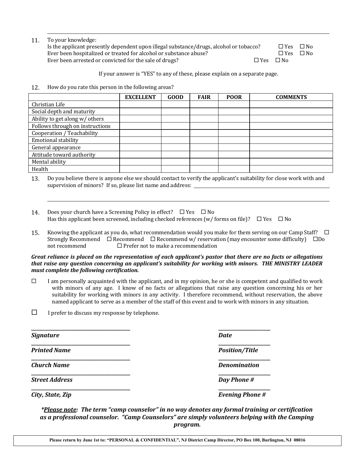| 11. | To your knowledge: |
|-----|--------------------|
|-----|--------------------|

| Is the applicant presently dependent upon illegal substance/drugs, alcohol or tobacco? |                      | $\Box$ Yes $\Box$ No |  |
|----------------------------------------------------------------------------------------|----------------------|----------------------|--|
| Ever been hospitalized or treated for alcohol or substance abuse?                      |                      | $\Box$ Yes $\Box$ No |  |
| Ever been arrested or convicted for the sale of drugs?                                 | $\Box$ Yes $\Box$ No |                      |  |

If your answer is "YES" to any of these, please explain on a separate page.

12. How do you rate this person in the following areas?

|                                 | <b>EXCELLENT</b> | <b>GOOD</b> | <b>FAIR</b> | <b>POOR</b> | <b>COMMENTS</b> |
|---------------------------------|------------------|-------------|-------------|-------------|-----------------|
| Christian Life                  |                  |             |             |             |                 |
| Social depth and maturity       |                  |             |             |             |                 |
| Ability to get along w/ others  |                  |             |             |             |                 |
| Follows through on instructions |                  |             |             |             |                 |
| Cooperation / Teachability      |                  |             |             |             |                 |
| <b>Emotional stability</b>      |                  |             |             |             |                 |
| General appearance              |                  |             |             |             |                 |
| Attitude toward authority       |                  |             |             |             |                 |
| Mental ability                  |                  |             |             |             |                 |
| Health                          |                  |             |             |             |                 |

13. Do you believe there is anyone else we should contact to verify the applicant's suitability for close work with and supervision of minors? If so, please list name and address:

- 14. Does your church have a Screening Policy in effect?  $\Box$  Yes  $\Box$  No Has this applicant been screened, including checked references (w/ forms on file)?  $\Box$  Yes  $\Box$  No
- 15. Knowing the applicant as you do, what recommendation would you make for them serving on our Camp Staff?  $\Box$ Strongly Recommend  $\Box$  Recommend  $\Box$  Recommend w/ reservation (may encounter some difficulty)  $\Box$ Do not recommend  $\Box$  Prefer not to make a recommendation

*Great reliance is placed on the representation of each applicant's pastor that there are no facts or allegations that raise any question concerning an applicant's suitability for working with minors. THE MINISTRY LEADER* must complete the following certification.

- $\Box$  I am personally acquainted with the applicant, and in my opinion, he or she is competent and qualified to work with minors of any age. I know of no facts or allegations that raise any question concerning his or her suitability for working with minors in any activity. I therefore recommend, without reservation, the above named applicant to serve as a member of the staff of this event and to work with minors in any situation.
- $\Box$  I prefer to discuss my response by telephone.

**\_\_\_\_\_\_\_\_\_\_\_\_\_\_\_\_\_\_\_\_\_\_\_\_\_\_\_\_\_\_\_\_\_\_\_\_\_\_\_\_\_\_ \_\_\_\_\_\_\_\_\_\_\_\_\_\_\_\_\_\_\_\_\_\_ Signature** *Date* **\_\_\_\_\_\_\_\_\_\_\_\_\_\_\_\_\_\_\_\_\_\_\_\_\_\_\_\_\_\_\_\_\_\_\_\_\_\_\_\_\_\_ \_\_\_\_\_\_\_\_\_\_\_\_\_\_\_\_\_\_\_\_\_\_** *Printed Name Position/Title* **\_\_\_\_\_\_\_\_\_\_\_\_\_\_\_\_\_\_\_\_\_\_\_\_\_\_\_\_\_\_\_\_\_\_\_\_\_\_\_\_\_\_ \_\_\_\_\_\_\_\_\_\_\_\_\_\_\_\_\_\_\_\_\_\_** *Church Name Denomination* **\_\_\_\_\_\_\_\_\_\_\_\_\_\_\_\_\_\_\_\_\_\_\_\_\_\_\_\_\_\_\_\_\_\_\_\_\_\_\_\_\_\_ \_\_\_\_\_\_\_\_\_\_\_\_\_\_\_\_\_\_\_\_\_\_ Street Address** *Day Phone Phone Day Phone* **\_\_\_\_\_\_\_\_\_\_\_\_\_\_\_\_\_\_\_\_\_\_\_\_\_\_\_\_\_\_\_\_\_\_\_\_\_\_\_\_\_\_ \_\_\_\_\_\_\_\_\_\_\_\_\_\_\_\_\_\_\_\_\_\_** *City, State, Zip Evening Phone #* 

*\*Please note: The term "camp counselor" in no way denotes any formal training or certification* as a professional counselor. "Camp Counselors" are simply volunteers helping with the Camping *program.*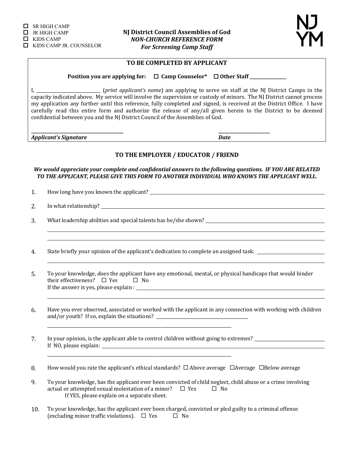

#### TO BE COMPLETED BY APPLICANT

Position you are applying for:  $□$  Camp Counselor<sup>\*</sup>  $□$  Other Staff \_\_\_\_\_\_\_\_\_\_\_\_

**\_\_\_\_\_\_\_\_\_\_\_\_\_\_\_\_\_\_\_\_\_\_\_\_\_\_\_\_\_\_\_\_\_\_\_\_\_\_\_\_\_\_\_ \_\_\_\_\_\_\_\_\_\_\_\_\_\_\_\_\_\_\_\_\_\_\_\_**

I, \_\_\_\_\_\_\_\_\_\_\_\_\_\_\_\_\_\_\_\_\_\_\_\_\_\_ (*print applicant's name*) am applying to serve on staff at the NJ District Camps in the capacity indicated above. My service will involve the supervision or custody of minors. The NJ District cannot process my application any further until this reference, fully completed and signed, is received at the District Office. I have carefully read this entire form and authorize the release of any/all given herein to the District to be deemed confidential between you and the NJ District Council of the Assemblies of God.

*Applicant's* Signature *Date* 

#### TO THE EMPLOYER / EDUCATOR / FRIEND

We would appreciate your complete and confidential answers to the following questions. IF YOU ARE RELATED TO THE APPLICANT, PLEASE GIVE THIS FORM TO ANOTHER INDIVIDUAL WHO KNOWS THE APPLICANT WELL.

1. How long have you known the applicant? 

2. In what relationship? 

3. What leadership abilities and special talents has he/she shown? 

4. State briefly your opinion of the applicant's dedication to complete an assigned task: \_\_\_\_\_\_\_\_\_\_\_\_\_\_\_\_\_\_\_\_

5. To your knowledge, does the applicant have any emotional, mental, or physical handicaps that would hinder their effectiveness?  $\Box$  Yes  $\Box$  No If the answer is yes, please explain :

6. Have you ever observed, associated or worked with the applicant in any connection with working with children and/or youth? If so, explain the situations? \_\_\_\_\_\_\_\_\_\_\_\_\_\_\_\_\_\_\_\_\_\_\_\_\_\_\_\_\_\_\_\_\_\_\_

7. In your opinion, is the applicant able to control children without going to extremes? 1. The mass of the applicant able to control children without going to extremes? If NO, please explain: 

\_\_\_\_\_\_\_\_\_\_\_\_\_\_\_\_\_\_\_\_\_\_\_\_\_\_\_\_\_\_\_\_\_\_\_\_\_\_\_\_\_\_\_\_\_\_\_\_\_\_\_\_\_\_\_\_\_\_\_\_\_\_\_\_\_\_\_\_\_\_\_\_\_\_\_\_\_\_\_\_\_\_\_\_\_\_

\_\_\_\_\_\_\_\_\_\_\_\_\_\_\_\_\_\_\_\_\_\_\_\_\_\_\_\_\_\_\_\_\_\_\_\_\_\_\_\_\_\_\_\_\_\_\_\_\_\_\_\_\_\_\_\_\_\_\_\_\_\_\_\_\_\_\_\_\_\_\_\_\_\_\_\_\_\_\_\_\_\_\_\_\_\_

8. How would you rate the applicant's ethical standards?  $\Box$  Above average  $\Box$ Average  $\Box$ Below average

9. To your knowledge, has the applicant ever been convicted of child neglect, child abuse or a crime involving actual or attempted sexual molestation of a minor?  $\Box$  Yes  $\Box$  No If YES, please explain on a separate sheet.

10. To your knowledge, has the applicant ever been charged, convicted or pled guilty to a criminal offense (excluding minor traffic violations).  $\Box$  Yes  $\Box$  No